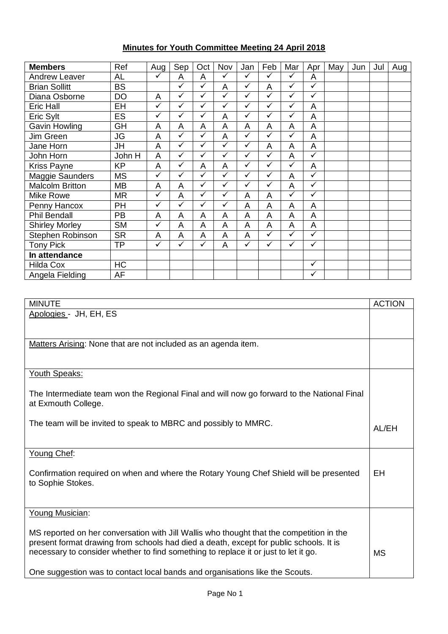## **Minutes for Youth Committee Meeting 24 April 2018**

| <b>Members</b>         | Ref       | Aug          | Sep          | Oct          | Nov            | Jan          | Feb          | Mar          | Apr          | May | Jun | Jul | Aug |
|------------------------|-----------|--------------|--------------|--------------|----------------|--------------|--------------|--------------|--------------|-----|-----|-----|-----|
| <b>Andrew Leaver</b>   | AL        | ✓            | A            | A            | ✓              | $\checkmark$ | ✓            | ✓            | A            |     |     |     |     |
| <b>Brian Sollitt</b>   | <b>BS</b> |              | ✓            | ✓            | A              | ✓            | A            | $\checkmark$ | $\checkmark$ |     |     |     |     |
| Diana Osborne          | DO        | A            | $\checkmark$ | ✓            | $\checkmark$   | $\checkmark$ | ✓            | $\checkmark$ | $\checkmark$ |     |     |     |     |
| Eric Hall              | EH        | ✓            | ✓            | ✓            | $\checkmark$   | ✓            | ✓            | ✓            | A            |     |     |     |     |
| Eric Sylt              | ES        | $\checkmark$ | ✓            | $\checkmark$ | A              | ✓            | ✓            | ✓            | A            |     |     |     |     |
| Gavin Howling          | GH        | A            | A            | A            | A              | A            | A            | A            | A            |     |     |     |     |
| Jim Green              | <b>JG</b> | A            | ✓            | $\checkmark$ | A              | $\checkmark$ | ✓            | ✓            | A            |     |     |     |     |
| Jane Horn              | <b>JH</b> | A            | $\checkmark$ | $\checkmark$ | $\checkmark$   | $\checkmark$ | A            | A            | A            |     |     |     |     |
| John Horn              | John H    | A            | $\checkmark$ | ✓            | $\checkmark$   | ✓            | ✓            | A            | ✓            |     |     |     |     |
| <b>Kriss Payne</b>     | <b>KP</b> | A            | ✓            | A            | A              | $\checkmark$ | ✓            | ✓            | A            |     |     |     |     |
| Maggie Saunders        | <b>MS</b> | $\checkmark$ | $\checkmark$ | ✓            | $\checkmark$   | ✓            | ✓            | A            | $\checkmark$ |     |     |     |     |
| <b>Malcolm Britton</b> | MВ        | A            | A            | ✓            | $\checkmark$   | ✓            | ✓            | A            | $\checkmark$ |     |     |     |     |
| <b>Mike Rowe</b>       | <b>MR</b> | ✓            | A            | ✓            | $\checkmark$   | A            | A            | ✓            | $\checkmark$ |     |     |     |     |
| Penny Hancox           | PH        | $\checkmark$ | ✓            | ✓            | $\checkmark$   | A            | A            | A            | A            |     |     |     |     |
| <b>Phil Bendall</b>    | PB        | A            | A            | A            | A              | A            | A            | A            | A            |     |     |     |     |
| <b>Shirley Morley</b>  | <b>SM</b> | ✓            | A            | A            | A              | A            | A            | A            | A            |     |     |     |     |
| Stephen Robinson       | <b>SR</b> | A            | A            | A            | $\overline{A}$ | A            | ✓            | $\checkmark$ | $\checkmark$ |     |     |     |     |
| <b>Tony Pick</b>       | ΤP        | ✓            | $\checkmark$ | ✓            | A              | $\checkmark$ | $\checkmark$ | $\checkmark$ | $\checkmark$ |     |     |     |     |
| In attendance          |           |              |              |              |                |              |              |              |              |     |     |     |     |
| <b>Hilda Cox</b>       | HC        |              |              |              |                |              |              |              | $\checkmark$ |     |     |     |     |
| Angela Fielding        | AF        |              |              |              |                |              |              |              | $\checkmark$ |     |     |     |     |

| <b>MINUTE</b>                                                                                                                                                                                                                                                             | <b>ACTION</b> |
|---------------------------------------------------------------------------------------------------------------------------------------------------------------------------------------------------------------------------------------------------------------------------|---------------|
| Apologies - JH, EH, ES                                                                                                                                                                                                                                                    |               |
|                                                                                                                                                                                                                                                                           |               |
| Matters Arising: None that are not included as an agenda item.                                                                                                                                                                                                            |               |
|                                                                                                                                                                                                                                                                           |               |
| Youth Speaks:                                                                                                                                                                                                                                                             |               |
| The Intermediate team won the Regional Final and will now go forward to the National Final<br>at Exmouth College.                                                                                                                                                         |               |
| The team will be invited to speak to MBRC and possibly to MMRC.                                                                                                                                                                                                           | AL/EH         |
| Young Chef:                                                                                                                                                                                                                                                               |               |
| Confirmation required on when and where the Rotary Young Chef Shield will be presented<br>to Sophie Stokes.                                                                                                                                                               | EH            |
|                                                                                                                                                                                                                                                                           |               |
| Young Musician:                                                                                                                                                                                                                                                           |               |
| MS reported on her conversation with Jill Wallis who thought that the competition in the<br>present format drawing from schools had died a death, except for public schools. It is<br>necessary to consider whether to find something to replace it or just to let it go. | <b>MS</b>     |
| One suggestion was to contact local bands and organisations like the Scouts.                                                                                                                                                                                              |               |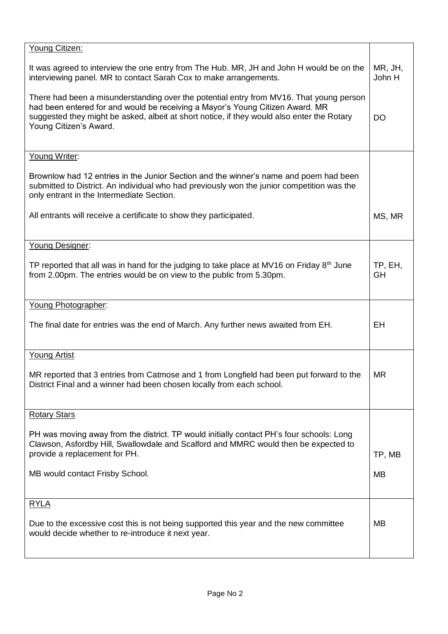| Young Citizen:                                                                                                                                                                                                                                                                                   |                   |
|--------------------------------------------------------------------------------------------------------------------------------------------------------------------------------------------------------------------------------------------------------------------------------------------------|-------------------|
| It was agreed to interview the one entry from The Hub. MR, JH and John H would be on the<br>interviewing panel. MR to contact Sarah Cox to make arrangements.                                                                                                                                    | MR, JH,<br>John H |
| There had been a misunderstanding over the potential entry from MV16. That young person<br>had been entered for and would be receiving a Mayor's Young Citizen Award. MR<br>suggested they might be asked, albeit at short notice, if they would also enter the Rotary<br>Young Citizen's Award. | <b>DO</b>         |
| Young Writer:                                                                                                                                                                                                                                                                                    |                   |
| Brownlow had 12 entries in the Junior Section and the winner's name and poem had been<br>submitted to District. An individual who had previously won the junior competition was the<br>only entrant in the Intermediate Section.                                                                 |                   |
| All entrants will receive a certificate to show they participated.                                                                                                                                                                                                                               | MS, MR            |
| Young Designer:                                                                                                                                                                                                                                                                                  |                   |
| TP reported that all was in hand for the judging to take place at MV16 on Friday $8th$ June<br>from 2.00pm. The entries would be on view to the public from 5.30pm.                                                                                                                              | TP, EH,<br>GH     |
| Young Photographer:                                                                                                                                                                                                                                                                              |                   |
| The final date for entries was the end of March. Any further news awaited from EH.                                                                                                                                                                                                               | EH                |
| <b>Young Artist</b>                                                                                                                                                                                                                                                                              |                   |
| MR reported that 3 entries from Catmose and 1 from Longfield had been put forward to the<br>District Final and a winner had been chosen locally from each school.                                                                                                                                | <b>MR</b>         |
| <b>Rotary Stars</b>                                                                                                                                                                                                                                                                              |                   |
| PH was moving away from the district. TP would initially contact PH's four schools: Long<br>Clawson, Asfordby Hill, Swallowdale and Scalford and MMRC would then be expected to<br>provide a replacement for PH.                                                                                 | TP, MB            |
| MB would contact Frisby School.                                                                                                                                                                                                                                                                  | MB                |
| <b>RYLA</b>                                                                                                                                                                                                                                                                                      |                   |
| Due to the excessive cost this is not being supported this year and the new committee<br>would decide whether to re-introduce it next year.                                                                                                                                                      | MВ                |